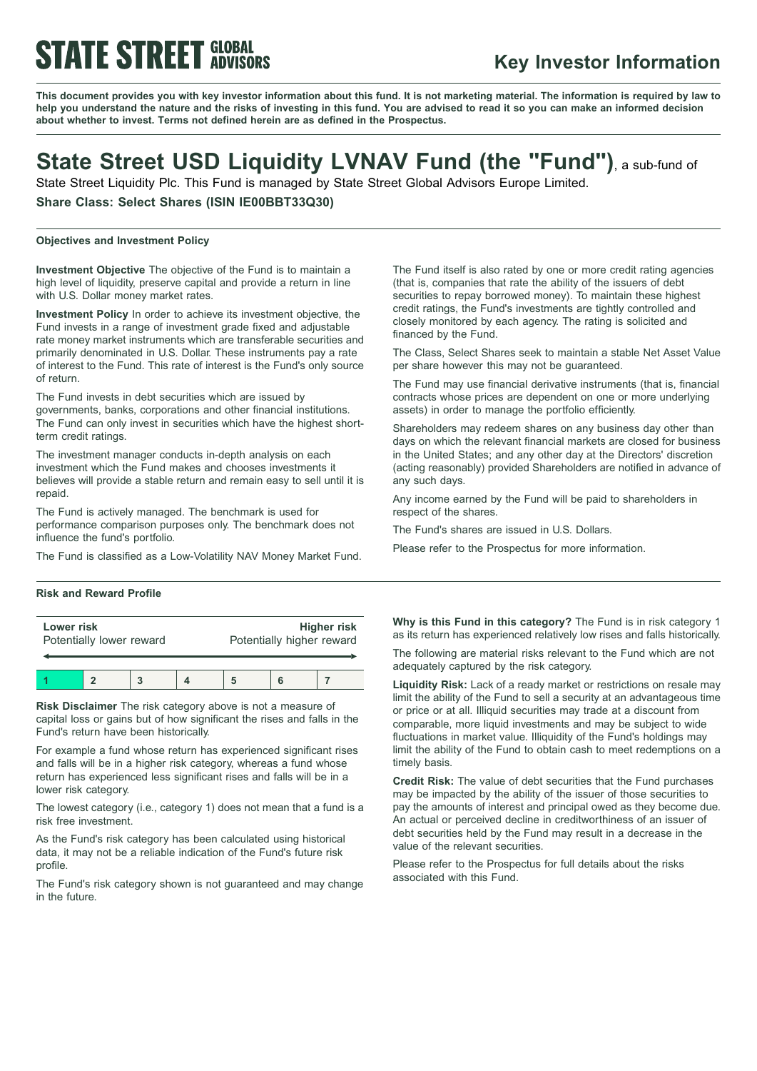# **STATE STREET GLOBAL**

### **Key Investor Information**

This document provides you with key investor information about this fund. It is not marketing material. The information is required by law to help you understand the nature and the risks of investing in this fund. You are advised to read it so you can make an informed decision **about whether to invest. Terms not defined herein are as defined in the Prospectus.**

## **State Street USD Liquidity LVNAV Fund (the "Fund")**, <sup>a</sup> sub-fund of

State Street Liquidity Plc. This Fund is managed by State Street Global Advisors Europe Limited.

**Share Class: Select Shares (ISIN IE00BBT33Q30)**

#### **Objectives and Investment Policy**

**Investment Objective** The objective of the Fund is to maintain a high level of liquidity, preserve capital and provide a return in line with U.S. Dollar money market rates.

**Investment Policy** In order to achieve its investment objective, the Fund invests in a range of investment grade fixed and adjustable rate money market instruments which are transferable securities and primarily denominated in U.S. Dollar. These instruments pay a rate of interest to the Fund. This rate of interest is the Fund's only source of return.

The Fund invests in debt securities which are issued by governments, banks, corporations and other financial institutions. The Fund can only invest in securities which have the highest shortterm credit ratings.

The investment manager conducts in-depth analysis on each investment which the Fund makes and chooses investments it believes will provide a stable return and remain easy to sell until it is repaid.

The Fund is actively managed. The benchmark is used for performance comparison purposes only. The benchmark does not influence the fund's portfolio.

The Fund is classified as a Low-Volatility NAV Money Market Fund.

#### **Risk and Reward Profile**

| Lower risk<br>Potentially lower reward |  |  | <b>Higher risk</b><br>Potentially higher reward |  |  |
|----------------------------------------|--|--|-------------------------------------------------|--|--|
|                                        |  |  |                                                 |  |  |

**Risk Disclaimer** The risk category above is not a measure of capital loss or gains but of how significant the rises and falls in the Fund's return have been historically.

For example a fund whose return has experienced significant rises and falls will be in a higher risk category, whereas a fund whose return has experienced less significant rises and falls will be in a lower risk category.

The lowest category (i.e., category 1) does not mean that a fund is a risk free investment.

As the Fund's risk category has been calculated using historical data, it may not be a reliable indication of the Fund's future risk profile.

The Fund's risk category shown is not guaranteed and may change in the future.

The Fund itself is also rated by one or more credit rating agencies (that is, companies that rate the ability of the issuers of debt securities to repay borrowed money). To maintain these highest credit ratings, the Fund's investments are tightly controlled and closely monitored by each agency. The rating is solicited and financed by the Fund.

The Class, Select Shares seek to maintain a stable Net Asset Value per share however this may not be guaranteed.

The Fund may use financial derivative instruments (that is, financial contracts whose prices are dependent on one or more underlying assets) in order to manage the portfolio efficiently.

Shareholders may redeem shares on any business day other than days on which the relevant financial markets are closed for business in the United States; and any other day at the Directors' discretion (acting reasonably) provided Shareholders are notified in advance of any such days.

Any income earned by the Fund will be paid to shareholders in respect of the shares.

The Fund's shares are issued in U.S. Dollars.

Please refer to the Prospectus for more information.

**Why is this Fund in this category?** The Fund is in risk category 1 as its return has experienced relatively low rises and falls historically.

The following are material risks relevant to the Fund which are not adequately captured by the risk category.

**Liquidity Risk:** Lack of a ready market or restrictions on resale may limit the ability of the Fund to sell a security at an advantageous time or price or at all. Illiquid securities may trade at a discount from comparable, more liquid investments and may be subject to wide fluctuations in market value. Illiquidity of the Fund's holdings may limit the ability of the Fund to obtain cash to meet redemptions on a timely basis.

**Credit Risk:** The value of debt securities that the Fund purchases may be impacted by the ability of the issuer of those securities to pay the amounts of interest and principal owed as they become due. An actual or perceived decline in creditworthiness of an issuer of debt securities held by the Fund may result in a decrease in the value of the relevant securities.

Please refer to the Prospectus for full details about the risks associated with this Fund.